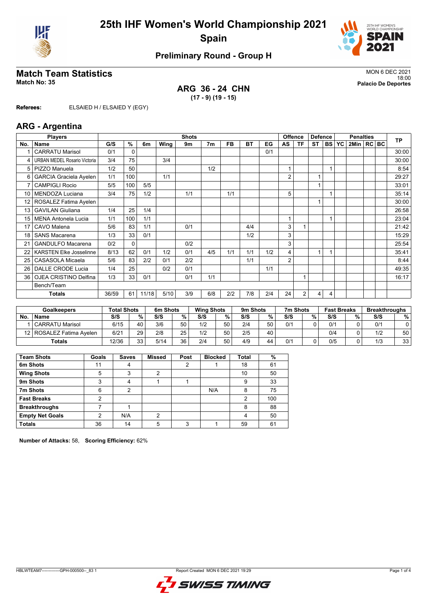



### **Preliminary Round - Group H**

# **Match Team Statistics**<br>MON 6 DEC 2021<br>Palacio De Deportes

**ARG 36 - 24 CHN (17 - 9) (19 - 15)**

18:00 **Match No: 35 Palacio De Deportes**

**Referees:** ELSAIED H / ELSAIED Y (EGY)

#### **ARG - Argentina**

|                | <b>Players</b>                      | <b>Shots</b> |              |       |      |     |                |           |     |     |    | <b>Offence</b> | <b>Defence</b> |           | <b>Penalties</b> |                |  |  | <b>TP</b> |
|----------------|-------------------------------------|--------------|--------------|-------|------|-----|----------------|-----------|-----|-----|----|----------------|----------------|-----------|------------------|----------------|--|--|-----------|
| No.            | <b>Name</b>                         | G/S          | %            | 6m    | Wing | 9m  | 7 <sub>m</sub> | <b>FB</b> | ВT  | EG  | AS | ΤF             | <b>ST</b>      | <b>BS</b> | YC               | 2Min   RC   BC |  |  |           |
|                | <b>CARRATU Marisol</b>              | 0/1          | $\Omega$     |       |      |     |                |           |     | 0/1 |    |                |                |           |                  |                |  |  | 30:00     |
| 4              | <b>URBAN MEDEL Rosario Victoria</b> | 3/4          | 75           |       | 3/4  |     |                |           |     |     |    |                |                |           |                  |                |  |  | 30:00     |
| 5              | PIZZO Manuela                       | 1/2          | 50           |       |      |     | 1/2            |           |     |     |    |                |                |           |                  |                |  |  | 8:54      |
| 6              | <b>GARCIA Graciela Ayelen</b>       | 1/1          | 100          |       | 1/1  |     |                |           |     |     | 2  |                | 1              |           |                  |                |  |  | 29:27     |
| $\overline{7}$ | <b>CAMPIGLI Rocio</b>               | 5/5          | 100          | 5/5   |      |     |                |           |     |     |    |                | 1              |           |                  |                |  |  | 33:01     |
| 10             | MENDOZA Luciana                     | 3/4          | 75           | 1/2   |      | 1/1 |                | 1/1       |     |     | 5  |                |                |           |                  |                |  |  | 35:14     |
|                | ROSALEZ Fatima Ayelen               |              |              |       |      |     |                |           |     |     |    |                | 4              |           |                  |                |  |  | 30:00     |
| 13             | <b>GAVILAN Giuliana</b>             | 1/4          | 25           | 1/4   |      |     |                |           |     |     |    |                |                |           |                  |                |  |  | 26:58     |
| 15             | <b>MENA Antonela Lucia</b>          | 1/1          | 100          | 1/1   |      |     |                |           |     |     | 1  |                |                |           |                  |                |  |  | 23:04     |
| 17             | CAVO Malena                         | 5/6          | 83           | 1/1   |      | 0/1 |                |           | 4/4 |     | 3  |                |                |           |                  |                |  |  | 21:42     |
| 18             | <b>SANS Macarena</b>                | 1/3          | 33           | 0/1   |      |     |                |           | 1/2 |     | 3  |                |                |           |                  |                |  |  | 15:29     |
| 21             | <b>GANDULFO Macarena</b>            | 0/2          | $\mathbf{0}$ |       |      | 0/2 |                |           |     |     | 3  |                |                |           |                  |                |  |  | 25:54     |
| 22             | <b>KARSTEN Elke Josselinne</b>      | 8/13         | 62           | 0/1   | 1/2  | 0/1 | 4/5            | 1/1       | 1/1 | 1/2 | 4  |                | 1              |           |                  |                |  |  | 35:41     |
| 25             | <b>CASASOLA Micaela</b>             | 5/6          | 83           | 2/2   | 0/1  | 2/2 |                |           | 1/1 |     | 2  |                |                |           |                  |                |  |  | 8:44      |
| 26             | DALLE CRODE Lucia                   | 1/4          | 25           |       | 0/2  | 0/1 |                |           |     | 1/1 |    |                |                |           |                  |                |  |  | 49:35     |
| 36             | OJEA CRISTINO Delfina               | 1/3          | 33           | 0/1   |      | 0/1 | 1/1            |           |     |     |    |                |                |           |                  |                |  |  | 16:17     |
|                | Bench/Team                          |              |              |       |      |     |                |           |     |     |    |                |                |           |                  |                |  |  |           |
|                | <b>Totals</b>                       | 36/59        | 61           | 11/18 | 5/10 | 3/9 | 6/8            | 2/2       | 7/8 | 2/4 | 24 | 2              | 4              | 4         |                  |                |  |  |           |

|           | <b>Goalkeepers</b>         | <b>Total Shots</b> |        | 6m Shots |    | <b>Wing Shots</b> |    | 9m Shots |    | 7m Shots |   | <b>Fast Breaks</b> |   | <b>Breakthroughs</b> |    |
|-----------|----------------------------|--------------------|--------|----------|----|-------------------|----|----------|----|----------|---|--------------------|---|----------------------|----|
| <b>No</b> | <b>Name</b>                | S/S                | $\%$ . | S/S      | %  | S/S               | %  | S/S      | %  | S/S      | % | S/S                | % | S/S                  | %  |
|           | <b>CARRATU Marisol</b>     | 6/15               | 40     | 3/6      | 50 | 1/2               | 50 | 2/4      | 50 | 0/1      |   | 0/1                |   | 0/1                  |    |
|           | 12   ROSALEZ Fatima Avelen | 6/21               | 29     | 2/8      | 25 | 1/2               | 50 | 2/5      | 40 |          |   | 0/4                |   | 1/2                  | 50 |
|           | <b>Totals</b>              | 12/36              | 33     | 5/14     | 36 | 2/4               | 50 | 4/9      | 44 | 0/1      |   | 0/5                |   | 1/3                  | 33 |

| <b>Team Shots</b>      | Goals | <b>Saves</b> | <b>Missed</b> | Post | <b>Blocked</b> | Total | %   |
|------------------------|-------|--------------|---------------|------|----------------|-------|-----|
| 6m Shots               | 11    | 4            |               | 2    |                | 18    | 61  |
| <b>Wing Shots</b>      | 5     | 3            | っ             |      |                | 10    | 50  |
| 9m Shots               | 3     | 4            |               |      |                | 9     | 33  |
| 7m Shots               | 6     | 2            |               |      | N/A            | 8     | 75  |
| <b>Fast Breaks</b>     | っ     |              |               |      |                | 2     | 100 |
| <b>Breakthroughs</b>   |       |              |               |      |                | 8     | 88  |
| <b>Empty Net Goals</b> | 2     | N/A          | 2             |      |                | 4     | 50  |
| <b>Totals</b>          | 36    | 14           | 5             | ົ    |                | 59    | 61  |

**Number of Attacks:** 58, **Scoring Efficiency:** 62%

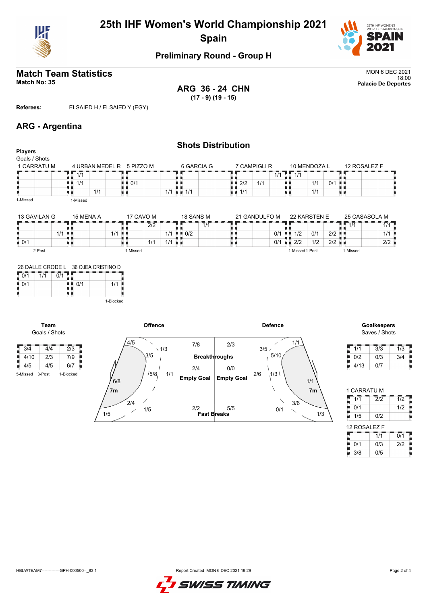



### **Preliminary Round - Group H**

# **Match Team Statistics** MON 6 DEC 2021<br>MON 6 DEC 2021<br>18:00

18:00 **Match No: 35 Palacio De Deportes ARG 36 - 24 CHN (17 - 9) (19 - 15)**

**Referees:** ELSAIED H / ELSAIED Y (EGY)

#### **ARG - Argentina**

|                                                   |                   |                    |                             |         |                            |            | <b>Shots Distribution</b>                |                |           |                                     |              |                      |                  |                    |
|---------------------------------------------------|-------------------|--------------------|-----------------------------|---------|----------------------------|------------|------------------------------------------|----------------|-----------|-------------------------------------|--------------|----------------------|------------------|--------------------|
| <b>Players</b><br>Goals / Shots                   |                   |                    |                             |         |                            |            |                                          |                |           |                                     |              |                      |                  |                    |
| 1 CARRATU M                                       |                   |                    | 4 URBAN MEDEL R 5 PIZZO M   |         |                            | 6 GARCIA G |                                          | 7 CAMPIGLI R   |           |                                     | 10 MENDOZA L |                      |                  | 12 ROSALEZ F       |
|                                                   | 1/1               |                    |                             |         |                            |            |                                          |                |           | $1/1$ $\frac{1}{4}$ $\frac{1}{1/1}$ |              |                      |                  |                    |
|                                                   | 1/1<br>. .<br>. T |                    | $\blacksquare$ 0/1          |         |                            |            | $\blacksquare$ $\blacksquare$ 2/2<br>. . | 1/1            |           | . .                                 | 1/1          | $0/1$ .              |                  |                    |
|                                                   | u d               | 1/1                | u d                         |         | $1/1$ $\equiv$ 1/1         |            | $\blacksquare$ 1/1                       |                |           | u p                                 | 1/1          |                      | $\blacksquare$   |                    |
| 1-Missed                                          | 1-Missed          |                    |                             |         |                            |            |                                          |                |           |                                     |              |                      |                  |                    |
| 13 GAVILAN G                                      | 15 MENA A         |                    | 17 CAVO M                   |         | 18 SANS M                  |            |                                          | 21 GANDULFO M  |           | 22 KARSTEN E                        |              |                      |                  | 25 CASASOLA M      |
|                                                   |                   |                    | $\overline{2}/\overline{2}$ |         |                            | 1/1        |                                          |                |           |                                     |              |                      | $\overline{1/1}$ | 1/1                |
| 1/1                                               | . H. H            | $1/1$              |                             |         | $1/1$ $\blacksquare$ $0/2$ |            | пг<br>ūΙ                                 |                | 0/1<br>л. | 1/2<br>ш                            | 0/1          | $2/2$ $\blacksquare$ |                  | 1/1                |
| $\bullet$ 0/1                                     | u u               |                    | 1/1<br>uк                   |         | $1/1$ u $\blacksquare$     |            | 夏夏                                       |                | 0/1       | $\blacksquare$ 2/2                  | 1/2          | $2/2$ $\blacksquare$ |                  | 2/2                |
| 2-Post                                            |                   |                    | 1-Missed                    |         |                            |            |                                          |                |           | 1-Missed 1-Post                     |              |                      | 1-Missed         |                    |
|                                                   |                   |                    |                             |         |                            |            |                                          |                |           |                                     |              |                      |                  |                    |
| 26 DALLE CRODE L                                  |                   | 36 OJEA CRISTINO D |                             |         |                            |            |                                          |                |           |                                     |              |                      |                  |                    |
| $\sqrt{07}$<br>0/1<br>$\overline{1}/\overline{1}$ |                   |                    |                             |         |                            |            |                                          |                |           |                                     |              |                      |                  |                    |
| $\blacksquare$ 0/1                                | 0/1<br>. .        | 1/1                |                             |         |                            |            |                                          |                |           |                                     |              |                      |                  |                    |
|                                                   | 風 目               |                    |                             |         |                            |            |                                          |                |           |                                     |              |                      |                  |                    |
|                                                   |                   | 1-Blocked          |                             |         |                            |            |                                          |                |           |                                     |              |                      |                  |                    |
|                                                   |                   |                    |                             |         |                            |            |                                          |                |           |                                     |              |                      |                  |                    |
| Team                                              |                   |                    |                             | Offence |                            |            |                                          | <b>Defence</b> |           |                                     |              |                      |                  | <b>Goalkeepers</b> |

Goals / Shots

 $3/4$   $4/4$   $2/3$ F į  $\frac{4}{10}$   $\frac{4}{10}$   $\frac{2}{3}$   $\frac{7}{9}$ <br> $\frac{4}{5}$   $\frac{4}{5}$   $\frac{6}{7}$ 4/5 4/5 6/7 5-Missed 3-Post 1-Blocked



Saves / Shots

| 1/1  | 3/3 | 1/3 |
|------|-----|-----|
| 0/2  | 0/3 | 3/4 |
| 4/13 | 0/7 |     |

| 1 CARRATU M  |                  |                  |
|--------------|------------------|------------------|
| 1/1          | $\overline{2}/2$ | 1/2              |
| 0/1          |                  | 1/2              |
| 1/5          | 0/2              |                  |
|              |                  |                  |
| 12 ROSALEZ F |                  |                  |
|              | $\overline{1/1}$ | $\overline{0/1}$ |
| 0/1          | 0/3              | 2/2              |

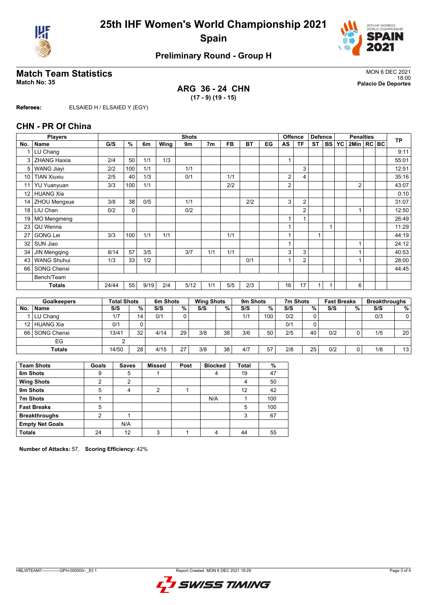



#### **Preliminary Round - Group H**

# **Match Team Statistics** MON 6 DEC 2021

**ARG 36 - 24 CHN (17 - 9) (19 - 15)**

18:00 **Match No: 35 Palacio De Deportes**

**Referees:** ELSAIED H / ELSAIED Y (EGY)

#### **CHN - PR Of China**

|                 | <b>Players</b>      | <b>Shots</b> |                    |      |                 |      |                   |           |                      |    |    | Offence        | <b>Defence</b> |           | <b>Penalties</b>   |                  |  |  | <b>TP</b>            |
|-----------------|---------------------|--------------|--------------------|------|-----------------|------|-------------------|-----------|----------------------|----|----|----------------|----------------|-----------|--------------------|------------------|--|--|----------------------|
| No.             | <b>Name</b>         | G/S          | %                  | 6m   | Wing            | 9m   | 7 <sub>m</sub>    | <b>FB</b> | <b>BT</b>            | EG | AS | <b>TF</b>      | <b>ST</b>      | <b>BS</b> | <b>YC</b>          | $2$ Min $ RC BC$ |  |  |                      |
|                 | LU Chang            |              |                    |      |                 |      |                   |           |                      |    |    |                |                |           |                    |                  |  |  | 9:11                 |
| 3               | <b>ZHANG Haixia</b> | 2/4          | 50                 | 1/1  | 1/3             |      |                   |           |                      |    |    |                |                |           |                    |                  |  |  | 55:01                |
| 5               | <b>WANG Jiavi</b>   | 2/2          | 100                | 1/1  |                 | 1/1  |                   |           |                      |    |    | 3              |                |           |                    |                  |  |  | 12:51                |
| 10              | <b>TIAN Xiuxiu</b>  | 2/5          | 40                 | 1/3  |                 | 0/1  |                   | 1/1       |                      |    | 2  | 4              |                |           |                    |                  |  |  | 35:16                |
| 11              | <b>YU Yuanyuan</b>  | 3/3          | 100                | 1/1  |                 |      |                   | 2/2       |                      |    | 2  |                |                |           |                    | $\overline{2}$   |  |  | 43:07                |
| 12 <sup>2</sup> | <b>HUANG Xia</b>    |              |                    |      |                 |      |                   |           |                      |    |    |                |                |           |                    |                  |  |  | 0:10                 |
| 14 l            | <b>ZHOU Mengxue</b> | 3/8          | 38                 | 0/5  |                 | 1/1  |                   |           | 2/2                  |    | 3  | $\overline{2}$ |                |           |                    |                  |  |  | 31:07                |
| 18 <sup>1</sup> | LIU Chan            | 0/2          | 0                  |      |                 | 0/2  |                   |           |                      |    |    | $\overline{2}$ |                |           |                    |                  |  |  | 12:50                |
| 19              | <b>MO Mengmeng</b>  |              |                    |      |                 |      |                   |           |                      |    |    | 1              |                |           |                    |                  |  |  | 26:49                |
| 23              | QU Wenna            |              |                    |      |                 |      |                   |           |                      |    |    |                |                |           |                    |                  |  |  | 11:29                |
| 27              | <b>GONG Lei</b>     | 3/3          | 100                | 1/1  | 1/1             |      |                   | 1/1       |                      |    |    |                | 4              |           |                    |                  |  |  | 44:19                |
| 32              | SUN Jiao            |              |                    |      |                 |      |                   |           |                      |    |    |                |                |           |                    | $\overline{1}$   |  |  | 24:12                |
| 34              | <b>JIN Mengqing</b> | 8/14         | 57                 | 3/5  |                 | 3/7  | 1/1               | 1/1       |                      |    | 3  | 3              |                |           |                    |                  |  |  | 40:53                |
| 43              | <b>WANG Shuhui</b>  | 1/3          | 33                 | 1/2  |                 |      |                   |           | 0/1                  |    |    | $\overline{2}$ |                |           |                    |                  |  |  | 28:00                |
| 66              | <b>SONG Chenxi</b>  |              |                    |      |                 |      |                   |           |                      |    |    |                |                |           |                    |                  |  |  | 44:45                |
|                 | Bench/Team          |              |                    |      |                 |      |                   |           |                      |    |    |                |                |           |                    |                  |  |  |                      |
|                 | Totals              | 24/44        | 55                 | 9/19 | 2/4             | 5/12 | 1/1               | 5/5       | 2/3                  |    | 16 | 17             |                |           |                    | 6                |  |  |                      |
|                 |                     |              |                    |      |                 |      |                   |           |                      |    |    |                |                |           |                    |                  |  |  |                      |
|                 | Goalkeepers         |              | <b>Total Shots</b> |      | <b>6m Shots</b> |      | <b>Winn Shots</b> |           | 9 <sub>m</sub> Shots |    |    | 7m Shots       |                |           | <b>Fast Breaks</b> |                  |  |  | <b>Breakthroughs</b> |

|     | <b>Goalkeepers</b> | <b>Total Shots</b> |    | 6m Shots |    | <b>Wing Shots</b> |    | 9m Shots |     | 7m Shots |    | <b>Fast Breaks</b> |   | <b>Breakthroughs</b> |                 |
|-----|--------------------|--------------------|----|----------|----|-------------------|----|----------|-----|----------|----|--------------------|---|----------------------|-----------------|
| No. | ∣ Name             | S/S                | %  | S/S      | %  | S/S               | %  | S/S      | %   | S/S      | %  | S/S                | % | S/S                  | %               |
|     | LU Chang           | 1/7                | 14 | 0/1      |    |                   |    | 1/1      | 100 | 0/2      |    |                    |   | 0/3                  |                 |
|     | 12 HUANG Xia       | 0/1                |    |          |    |                   |    |          |     | 0/1      |    |                    |   |                      |                 |
|     | 66 SONG Chenxi     | 13/41              | 32 | 4/14     | 29 | 3/8               | 38 | 3/6      | 50  | 2/5      | 40 | 0/2                |   | 1/5                  | 201             |
|     | EG                 |                    |    |          |    |                   |    |          |     |          |    |                    |   |                      |                 |
|     | <b>Totals</b>      | 14/50              | 28 | 4/15     | 27 | 3/8               | 38 | 4/7      | 57  | 2/8      | 25 | 0/2                |   | 1/8                  | 13 <sub>1</sub> |

| <b>Team Shots</b>      | Goals | <b>Saves</b>   | <b>Missed</b> | Post | <b>Blocked</b> | <b>Total</b> | %   |
|------------------------|-------|----------------|---------------|------|----------------|--------------|-----|
| 6m Shots               | 9     | 5              |               |      |                | 19           | 47  |
| <b>Wing Shots</b>      | 2     | $\overline{2}$ |               |      |                | 4            | 50  |
| 9m Shots               | 5     | 4              | 2             |      |                | 12           | 42  |
| 7m Shots               |       |                |               |      | N/A            |              | 100 |
| <b>Fast Breaks</b>     | 5     |                |               |      |                | 5            | 100 |
| <b>Breakthroughs</b>   | ◠     |                |               |      |                | 3            | 67  |
| <b>Empty Net Goals</b> |       | N/A            |               |      |                |              |     |
| <b>Totals</b>          | 24    | 12             | 3             |      |                | 44           | 55  |

**Number of Attacks:** 57, **Scoring Efficiency:** 42%